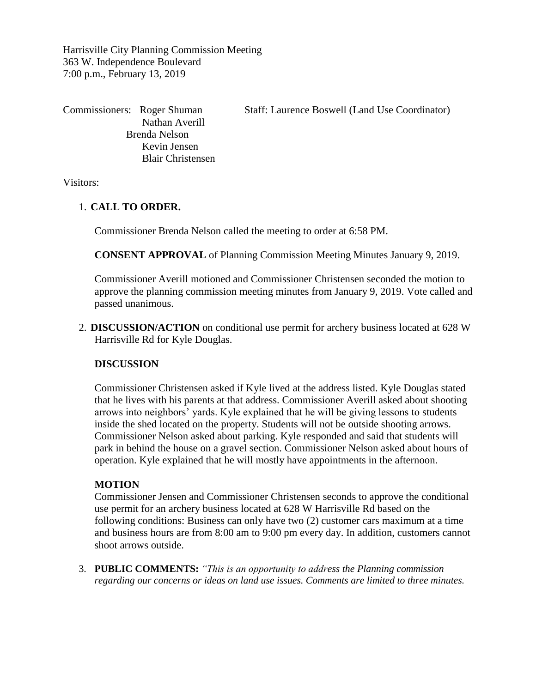Harrisville City Planning Commission Meeting 363 W. Independence Boulevard 7:00 p.m., February 13, 2019

Nathan Averill Brenda Nelson Kevin Jensen Blair Christensen

Commissioners: Roger Shuman Staff: Laurence Boswell (Land Use Coordinator)

Visitors:

## 1. **CALL TO ORDER.**

Commissioner Brenda Nelson called the meeting to order at 6:58 PM.

**CONSENT APPROVAL** of Planning Commission Meeting Minutes January 9, 2019.

Commissioner Averill motioned and Commissioner Christensen seconded the motion to approve the planning commission meeting minutes from January 9, 2019. Vote called and passed unanimous.

2. **DISCUSSION/ACTION** on conditional use permit for archery business located at 628 W Harrisville Rd for Kyle Douglas.

## **DISCUSSION**

Commissioner Christensen asked if Kyle lived at the address listed. Kyle Douglas stated that he lives with his parents at that address. Commissioner Averill asked about shooting arrows into neighbors' yards. Kyle explained that he will be giving lessons to students inside the shed located on the property. Students will not be outside shooting arrows. Commissioner Nelson asked about parking. Kyle responded and said that students will park in behind the house on a gravel section. Commissioner Nelson asked about hours of operation. Kyle explained that he will mostly have appointments in the afternoon.

## **MOTION**

Commissioner Jensen and Commissioner Christensen seconds to approve the conditional use permit for an archery business located at 628 W Harrisville Rd based on the following conditions: Business can only have two (2) customer cars maximum at a time and business hours are from 8:00 am to 9:00 pm every day. In addition, customers cannot shoot arrows outside.

3. **PUBLIC COMMENTS:** *"This is an opportunity to address the Planning commission regarding our concerns or ideas on land use issues. Comments are limited to three minutes.*